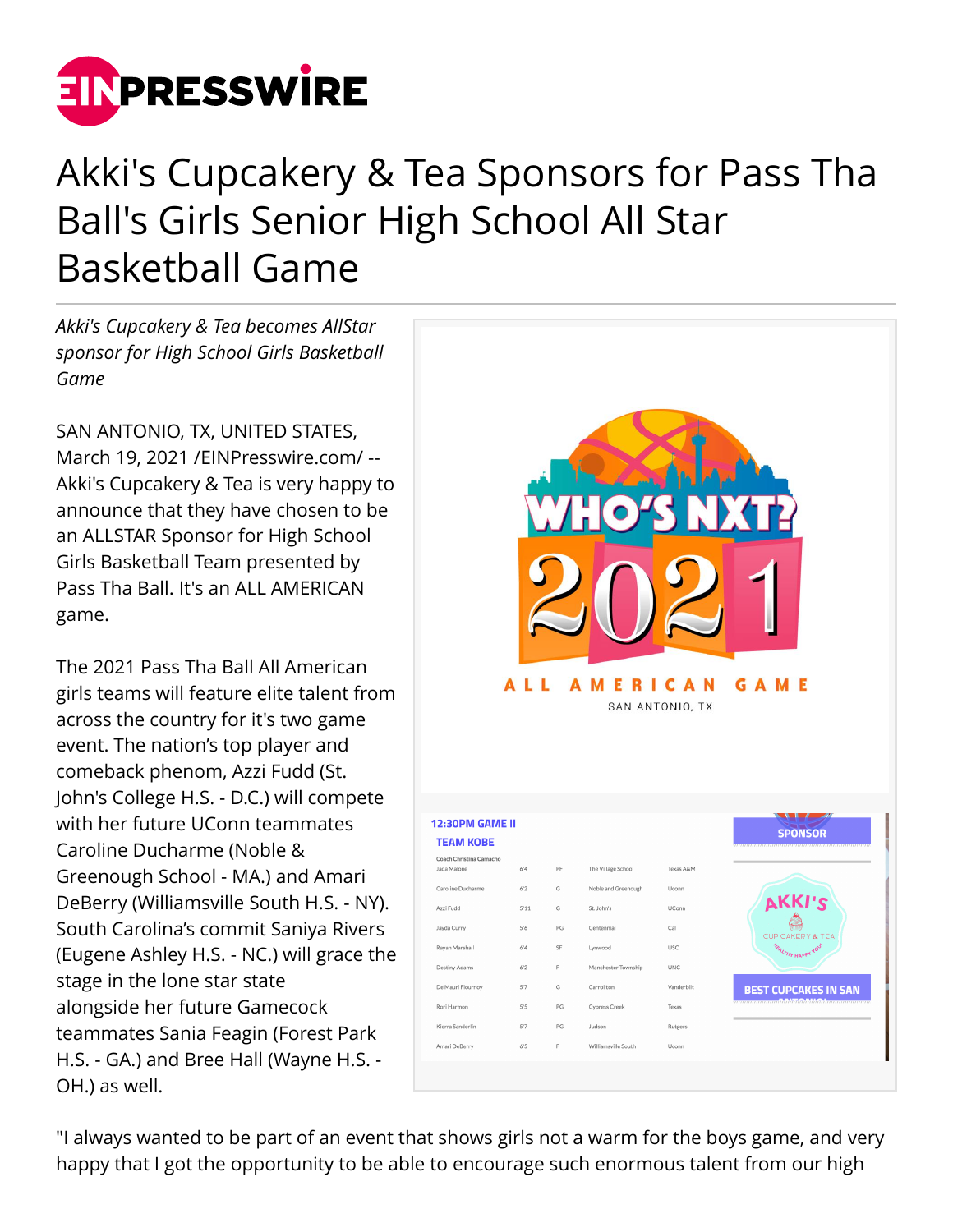

## Akki's Cupcakery & Tea Sponsors for Pass Tha Ball's Girls Senior High School All Star Basketball Game

*Akki's Cupcakery & Tea becomes AllStar sponsor for High School Girls Basketball Game*

SAN ANTONIO, TX, UNITED STATES, March 19, 2021 /[EINPresswire.com](http://www.einpresswire.com)/ -- Akki's Cupcakery & Tea is very happy to announce that they have chosen to be an ALLSTAR Sponsor for High School Girls Basketball Team presented by Pass Tha Ball. It's an ALL AMERICAN game.

The 2021 Pass Tha Ball All American girls teams will feature elite talent from across the country for it's two game event. The nation's top player and comeback phenom, Azzi Fudd (St. John's College H.S. - D.C.) will compete with her future UConn teammates Caroline Ducharme (Noble & Greenough School - MA.) and Amari DeBerry (Williamsville South H.S. - NY). South Carolina's commit Saniya Rivers (Eugene Ashley H.S. - NC.) will grace the stage in the lone star state alongside her future Gamecock teammates Sania Feagin (Forest Park H.S. - GA.) and Bree Hall (Wayne H.S. - OH.) as well.



"I always wanted to be part of an event that shows girls not a warm for the boys game, and very happy that I got the opportunity to be able to encourage such enormous talent from our high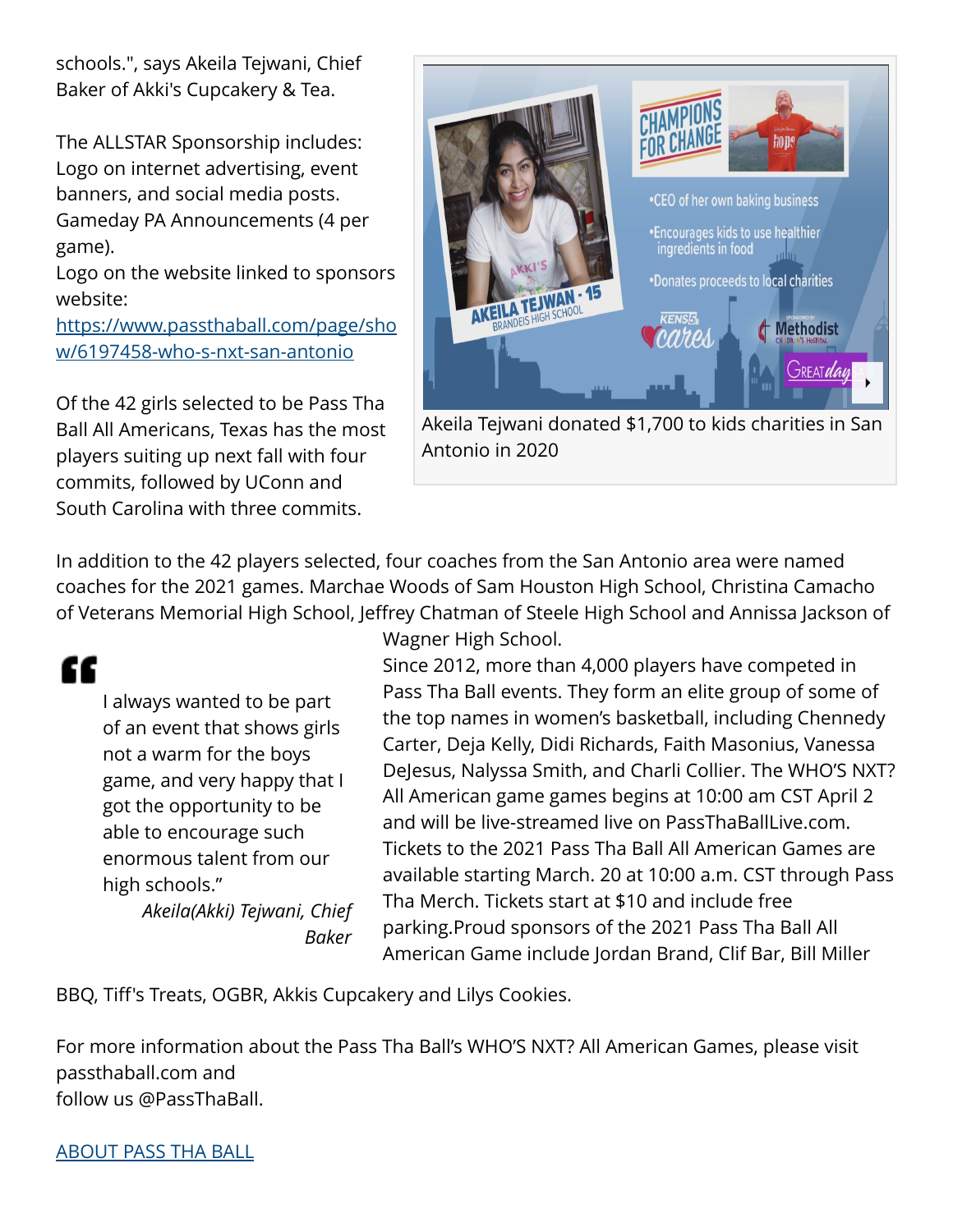schools.", says Akeila Tejwani, Chief Baker of Akki's Cupcakery & Tea.

The ALLSTAR Sponsorship includes: Logo on internet advertising, event banners, and social media posts. Gameday PA Announcements (4 per game).

Logo on the website linked to sponsors website:

[https://www.passthaball.com/page/sho](https://www.passthaball.com/page/show/6197458-who-s-nxt-san-antonio) [w/6197458-who-s-nxt-san-antonio](https://www.passthaball.com/page/show/6197458-who-s-nxt-san-antonio)

Of the 42 girls selected to be Pass Tha Ball All Americans, Texas has the most players suiting up next fall with four commits, followed by UConn and South Carolina with three commits.



Akeila Tejwani donated \$1,700 to kids charities in San Antonio in 2020

In addition to the 42 players selected, four coaches from the San Antonio area were named coaches for the 2021 games. Marchae Woods of Sam Houston High School, Christina Camacho of Veterans Memorial High School, Jeffrey Chatman of Steele High School and Annissa Jackson of

## ££

I always wanted to be part of an event that shows girls not a warm for the boys game, and very happy that I got the opportunity to be able to encourage such enormous talent from our high schools."

*Akeila(Akki) Tejwani, Chief Baker*

Wagner High School.

Since 2012, more than 4,000 players have competed in Pass Tha Ball events. They form an elite group of some of the top names in women's basketball, including Chennedy Carter, Deja Kelly, Didi Richards, Faith Masonius, Vanessa DeJesus, Nalyssa Smith, and Charli Collier. The WHO'S NXT? All American game games begins at 10:00 am CST April 2 and will be live-streamed live on PassThaBallLive.com. Tickets to the 2021 Pass Tha Ball All American Games are available starting March. 20 at 10:00 a.m. CST through Pass Tha Merch. Tickets start at \$10 and include free parking.Proud sponsors of the 2021 Pass Tha Ball All American Game include Jordan Brand, Clif Bar, Bill Miller

BBQ, Tiff's Treats, OGBR, Akkis Cupcakery and Lilys Cookies.

For more information about the Pass Tha Ball's WHO'S NXT? All American Games, please visit passthaball.com and follow us @PassThaBall.